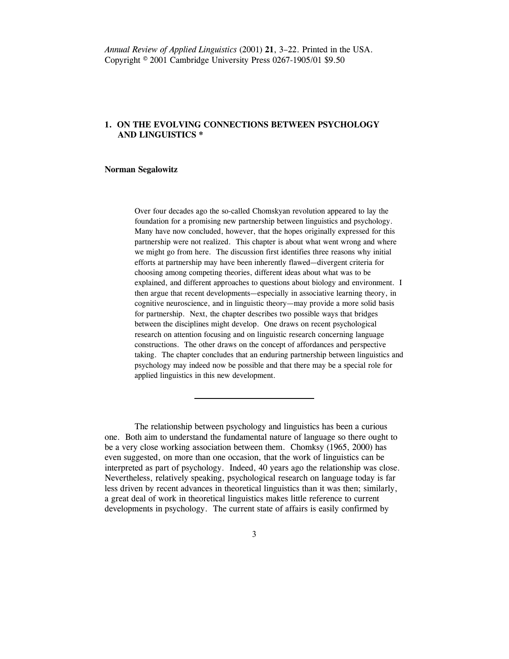# **1. ON THE EVOLVING CONNECTIONS BETWEEN PSYCHOLOGY AND LINGUISTICS \***

## **Norman Segalowitz**

Over four decades ago the so-called Chomskyan revolution appeared to lay the foundation for a promising new partnership between linguistics and psychology. Many have now concluded, however, that the hopes originally expressed for this partnership were not realized. This chapter is about what went wrong and where we might go from here. The discussion first identifies three reasons why initial efforts at partnership may have been inherently flawed—divergent criteria for choosing among competing theories, different ideas about what was to be explained, and different approaches to questions about biology and environment. I then argue that recent developments—especially in associative learning theory, in cognitive neuroscience, and in linguistic theory—may provide a more solid basis for partnership. Next, the chapter describes two possible ways that bridges between the disciplines might develop. One draws on recent psychological research on attention focusing and on linguistic research concerning language constructions. The other draws on the concept of affordances and perspective taking. The chapter concludes that an enduring partnership between linguistics and psychology may indeed now be possible and that there may be a special role for applied linguistics in this new development.

The relationship between psychology and linguistics has been a curious one. Both aim to understand the fundamental nature of language so there ought to be a very close working association between them. Chomksy (1965, 2000) has even suggested, on more than one occasion, that the work of linguistics can be interpreted as part of psychology. Indeed, 40 years ago the relationship was close. Nevertheless, relatively speaking, psychological research on language today is far less driven by recent advances in theoretical linguistics than it was then; similarly, a great deal of work in theoretical linguistics makes little reference to current developments in psychology. The current state of affairs is easily confirmed by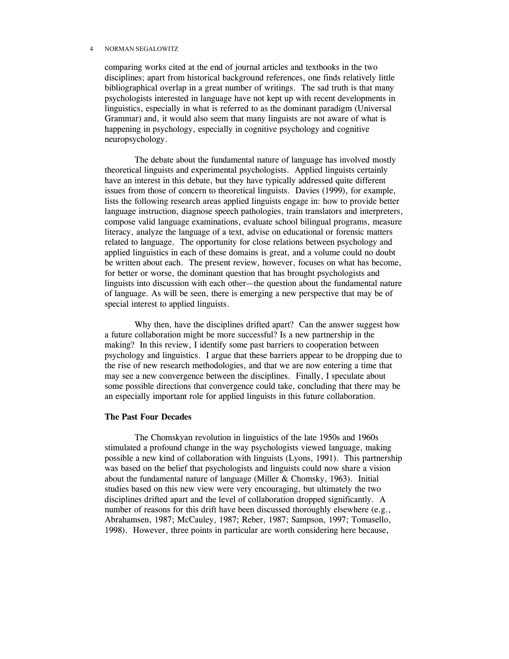comparing works cited at the end of journal articles and textbooks in the two disciplines; apart from historical background references, one finds relatively little bibliographical overlap in a great number of writings. The sad truth is that many psychologists interested in language have not kept up with recent developments in linguistics, especially in what is referred to as the dominant paradigm (Universal Grammar) and, it would also seem that many linguists are not aware of what is happening in psychology, especially in cognitive psychology and cognitive neuropsychology.

The debate about the fundamental nature of language has involved mostly theoretical linguists and experimental psychologists. Applied linguists certainly have an interest in this debate, but they have typically addressed quite different issues from those of concern to theoretical linguists. Davies (1999), for example, lists the following research areas applied linguists engage in: how to provide better language instruction, diagnose speech pathologies, train translators and interpreters, compose valid language examinations, evaluate school bilingual programs, measure literacy, analyze the language of a text, advise on educational or forensic matters related to language. The opportunity for close relations between psychology and applied linguistics in each of these domains is great, and a volume could no doubt be written about each. The present review, however, focuses on what has become, for better or worse, the dominant question that has brought psychologists and linguists into discussion with each other—the question about the fundamental nature of language. As will be seen, there is emerging a new perspective that may be of special interest to applied linguists.

Why then, have the disciplines drifted apart? Can the answer suggest how a future collaboration might be more successful? Is a new partnership in the making? In this review, I identify some past barriers to cooperation between psychology and linguistics. I argue that these barriers appear to be dropping due to the rise of new research methodologies, and that we are now entering a time that may see a new convergence between the disciplines. Finally, I speculate about some possible directions that convergence could take, concluding that there may be an especially important role for applied linguists in this future collaboration.

### **The Past Four Decades**

The Chomskyan revolution in linguistics of the late 1950s and 1960s stimulated a profound change in the way psychologists viewed language, making possible a new kind of collaboration with linguists (Lyons, 1991). This partnership was based on the belief that psychologists and linguists could now share a vision about the fundamental nature of language (Miller & Chomsky, 1963). Initial studies based on this new view were very encouraging, but ultimately the two disciplines drifted apart and the level of collaboration dropped significantly. A number of reasons for this drift have been discussed thoroughly elsewhere (e.g., Abrahamsen, 1987; McCauley, 1987; Reber, 1987; Sampson, 1997; Tomasello, 1998). However, three points in particular are worth considering here because,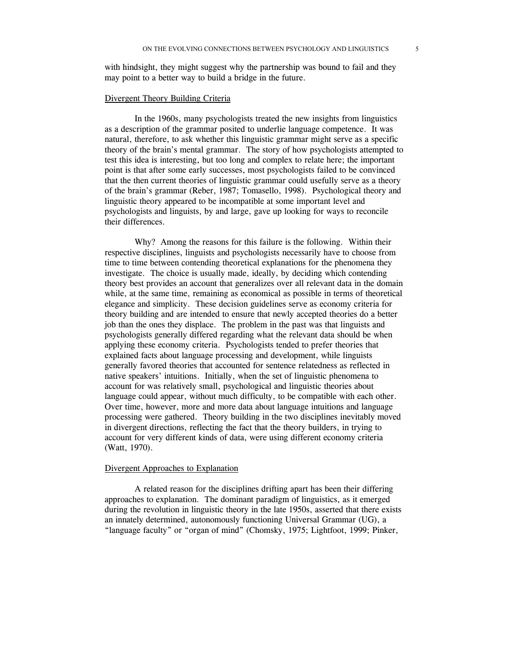with hindsight, they might suggest why the partnership was bound to fail and they may point to a better way to build a bridge in the future.

## Divergent Theory Building Criteria

In the 1960s, many psychologists treated the new insights from linguistics as a description of the grammar posited to underlie language competence. It was natural, therefore, to ask whether this linguistic grammar might serve as a specific theory of the brain's mental grammar. The story of how psychologists attempted to test this idea is interesting, but too long and complex to relate here; the important point is that after some early successes, most psychologists failed to be convinced that the then current theories of linguistic grammar could usefully serve as a theory of the brain's grammar (Reber, 1987; Tomasello, 1998). Psychological theory and linguistic theory appeared to be incompatible at some important level and psychologists and linguists, by and large, gave up looking for ways to reconcile their differences.

Why? Among the reasons for this failure is the following. Within their respective disciplines, linguists and psychologists necessarily have to choose from time to time between contending theoretical explanations for the phenomena they investigate. The choice is usually made, ideally, by deciding which contending theory best provides an account that generalizes over all relevant data in the domain while, at the same time, remaining as economical as possible in terms of theoretical elegance and simplicity. These decision guidelines serve as economy criteria for theory building and are intended to ensure that newly accepted theories do a better job than the ones they displace. The problem in the past was that linguists and psychologists generally differed regarding what the relevant data should be when applying these economy criteria. Psychologists tended to prefer theories that explained facts about language processing and development, while linguists generally favored theories that accounted for sentence relatedness as reflected in native speakers' intuitions. Initially, when the set of linguistic phenomena to account for was relatively small, psychological and linguistic theories about language could appear, without much difficulty, to be compatible with each other. Over time, however, more and more data about language intuitions and language processing were gathered. Theory building in the two disciplines inevitably moved in divergent directions, reflecting the fact that the theory builders, in trying to account for very different kinds of data, were using different economy criteria (Watt, 1970).

## Divergent Approaches to Explanation

A related reason for the disciplines drifting apart has been their differing approaches to explanation. The dominant paradigm of linguistics, as it emerged during the revolution in linguistic theory in the late 1950s, asserted that there exists an innately determined, autonomously functioning Universal Grammar (UG), a "language faculty" or "organ of mind" (Chomsky, 1975; Lightfoot, 1999; Pinker,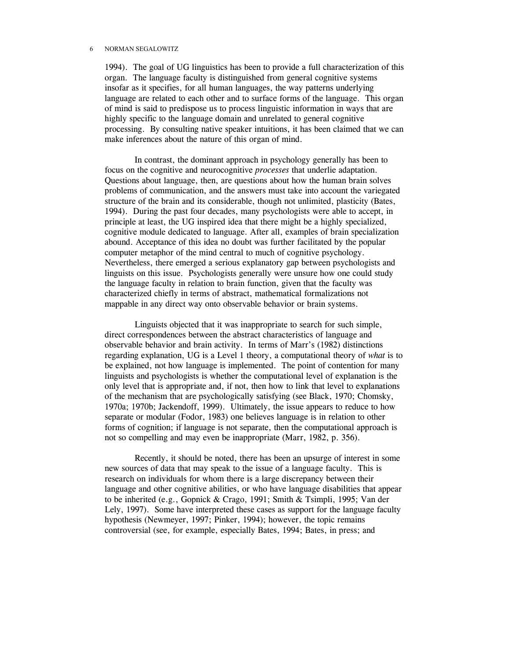1994). The goal of UG linguistics has been to provide a full characterization of this organ. The language faculty is distinguished from general cognitive systems insofar as it specifies, for all human languages, the way patterns underlying language are related to each other and to surface forms of the language. This organ of mind is said to predispose us to process linguistic information in ways that are highly specific to the language domain and unrelated to general cognitive processing. By consulting native speaker intuitions, it has been claimed that we can make inferences about the nature of this organ of mind.

In contrast, the dominant approach in psychology generally has been to focus on the cognitive and neurocognitive *processes* that underlie adaptation. Questions about language, then, are questions about how the human brain solves problems of communication, and the answers must take into account the variegated structure of the brain and its considerable, though not unlimited, plasticity (Bates, 1994). During the past four decades, many psychologists were able to accept, in principle at least, the UG inspired idea that there might be a highly specialized, cognitive module dedicated to language. After all, examples of brain specialization abound. Acceptance of this idea no doubt was further facilitated by the popular computer metaphor of the mind central to much of cognitive psychology. Nevertheless, there emerged a serious explanatory gap between psychologists and linguists on this issue. Psychologists generally were unsure how one could study the language faculty in relation to brain function, given that the faculty was characterized chiefly in terms of abstract, mathematical formalizations not mappable in any direct way onto observable behavior or brain systems.

Linguists objected that it was inappropriate to search for such simple, direct correspondences between the abstract characteristics of language and observable behavior and brain activity. In terms of Marr's (1982) distinctions regarding explanation, UG is a Level 1 theory, a computational theory of *what* is to be explained, not how language is implemented. The point of contention for many linguists and psychologists is whether the computational level of explanation is the only level that is appropriate and, if not, then how to link that level to explanations of the mechanism that are psychologically satisfying (see Black, 1970; Chomsky, 1970a; 1970b; Jackendoff, 1999). Ultimately, the issue appears to reduce to how separate or modular (Fodor, 1983) one believes language is in relation to other forms of cognition; if language is not separate, then the computational approach is not so compelling and may even be inappropriate (Marr, 1982, p. 356).

Recently, it should be noted, there has been an upsurge of interest in some new sources of data that may speak to the issue of a language faculty. This is research on individuals for whom there is a large discrepancy between their language and other cognitive abilities, or who have language disabilities that appear to be inherited (e.g., Gopnick & Crago, 1991; Smith & Tsimpli, 1995; Van der Lely, 1997). Some have interpreted these cases as support for the language faculty hypothesis (Newmeyer, 1997; Pinker, 1994); however, the topic remains controversial (see, for example, especially Bates, 1994; Bates, in press; and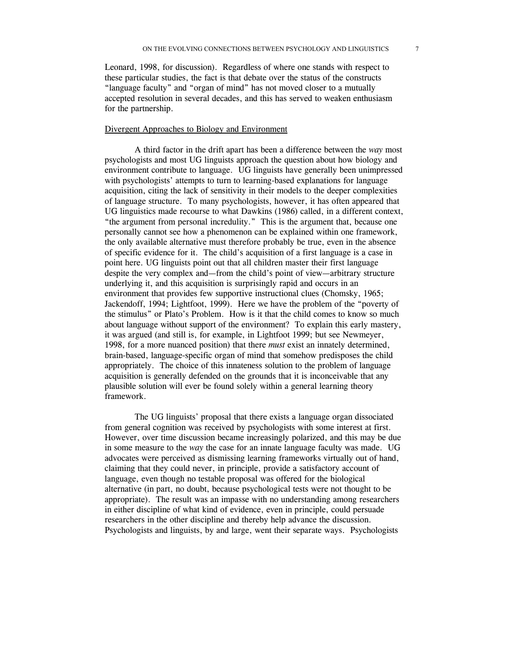Leonard, 1998, for discussion). Regardless of where one stands with respect to these particular studies, the fact is that debate over the status of the constructs "language faculty" and "organ of mind" has not moved closer to a mutually accepted resolution in several decades, and this has served to weaken enthusiasm for the partnership.

## Divergent Approaches to Biology and Environment

A third factor in the drift apart has been a difference between the *way* most psychologists and most UG linguists approach the question about how biology and environment contribute to language. UG linguists have generally been unimpressed with psychologists' attempts to turn to learning-based explanations for language acquisition, citing the lack of sensitivity in their models to the deeper complexities of language structure. To many psychologists, however, it has often appeared that UG linguistics made recourse to what Dawkins (1986) called, in a different context, "the argument from personal incredulity." This is the argument that, because one personally cannot see how a phenomenon can be explained within one framework, the only available alternative must therefore probably be true, even in the absence of specific evidence for it. The child's acquisition of a first language is a case in point here. UG linguists point out that all children master their first language despite the very complex and—from the child's point of view—arbitrary structure underlying it, and this acquisition is surprisingly rapid and occurs in an environment that provides few supportive instructional clues (Chomsky, 1965; Jackendoff, 1994; Lightfoot, 1999). Here we have the problem of the "poverty of the stimulus" or Plato's Problem. How is it that the child comes to know so much about language without support of the environment? To explain this early mastery, it was argued (and still is, for example, in Lightfoot 1999; but see Newmeyer, 1998, for a more nuanced position) that there *must* exist an innately determined, brain-based, language-specific organ of mind that somehow predisposes the child appropriately. The choice of this innateness solution to the problem of language acquisition is generally defended on the grounds that it is inconceivable that any plausible solution will ever be found solely within a general learning theory framework.

The UG linguists' proposal that there exists a language organ dissociated from general cognition was received by psychologists with some interest at first. However, over time discussion became increasingly polarized, and this may be due in some measure to the *way* the case for an innate language faculty was made. UG advocates were perceived as dismissing learning frameworks virtually out of hand, claiming that they could never, in principle, provide a satisfactory account of language, even though no testable proposal was offered for the biological alternative (in part, no doubt, because psychological tests were not thought to be appropriate). The result was an impasse with no understanding among researchers in either discipline of what kind of evidence, even in principle, could persuade researchers in the other discipline and thereby help advance the discussion. Psychologists and linguists, by and large, went their separate ways. Psychologists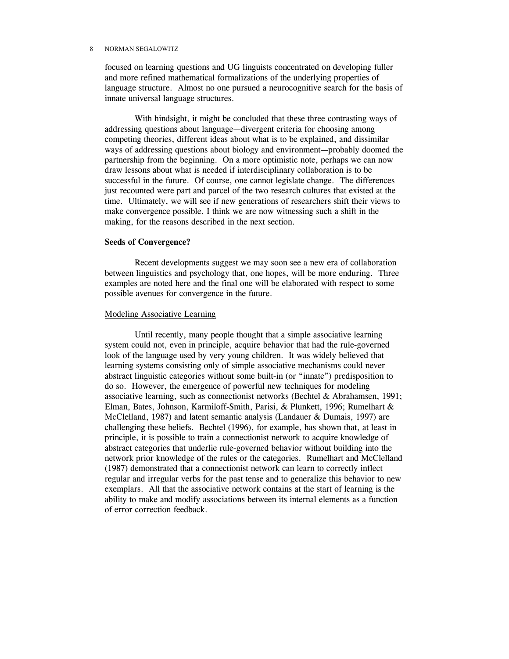focused on learning questions and UG linguists concentrated on developing fuller and more refined mathematical formalizations of the underlying properties of language structure. Almost no one pursued a neurocognitive search for the basis of innate universal language structures.

With hindsight, it might be concluded that these three contrasting ways of addressing questions about language—divergent criteria for choosing among competing theories, different ideas about what is to be explained, and dissimilar ways of addressing questions about biology and environment—probably doomed the partnership from the beginning. On a more optimistic note, perhaps we can now draw lessons about what is needed if interdisciplinary collaboration is to be successful in the future. Of course, one cannot legislate change. The differences just recounted were part and parcel of the two research cultures that existed at the time. Ultimately, we will see if new generations of researchers shift their views to make convergence possible. I think we are now witnessing such a shift in the making, for the reasons described in the next section.

## **Seeds of Convergence?**

Recent developments suggest we may soon see a new era of collaboration between linguistics and psychology that, one hopes, will be more enduring. Three examples are noted here and the final one will be elaborated with respect to some possible avenues for convergence in the future.

## Modeling Associative Learning

Until recently, many people thought that a simple associative learning system could not, even in principle, acquire behavior that had the rule-governed look of the language used by very young children. It was widely believed that learning systems consisting only of simple associative mechanisms could never abstract linguistic categories without some built-in (or "innate") predisposition to do so. However, the emergence of powerful new techniques for modeling associative learning, such as connectionist networks (Bechtel & Abrahamsen, 1991; Elman, Bates, Johnson, Karmiloff-Smith, Parisi, & Plunkett, 1996; Rumelhart & McClelland, 1987) and latent semantic analysis (Landauer & Dumais, 1997) are challenging these beliefs. Bechtel (1996), for example, has shown that, at least in principle, it is possible to train a connectionist network to acquire knowledge of abstract categories that underlie rule-governed behavior without building into the network prior knowledge of the rules or the categories. Rumelhart and McClelland (1987) demonstrated that a connectionist network can learn to correctly inflect regular and irregular verbs for the past tense and to generalize this behavior to new exemplars. All that the associative network contains at the start of learning is the ability to make and modify associations between its internal elements as a function of error correction feedback.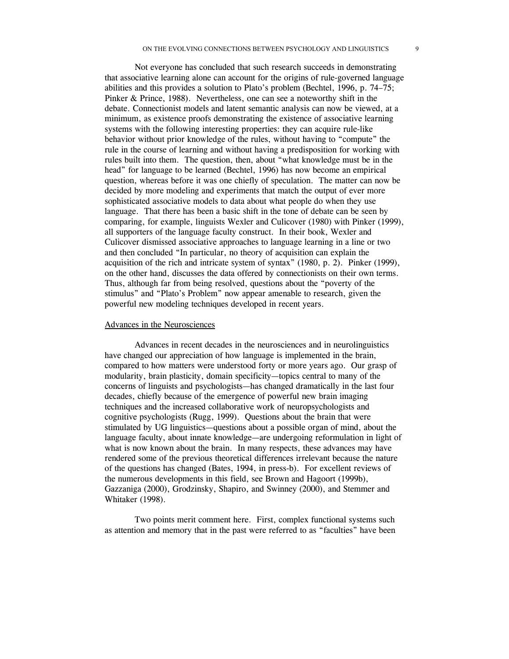Not everyone has concluded that such research succeeds in demonstrating that associative learning alone can account for the origins of rule-governed language abilities and this provides a solution to Plato's problem (Bechtel, 1996, p. 74–75; Pinker & Prince, 1988). Nevertheless, one can see a noteworthy shift in the debate. Connectionist models and latent semantic analysis can now be viewed, at a minimum, as existence proofs demonstrating the existence of associative learning systems with the following interesting properties: they can acquire rule-like behavior without prior knowledge of the rules, without having to "compute" the rule in the course of learning and without having a predisposition for working with rules built into them. The question, then, about "what knowledge must be in the head" for language to be learned (Bechtel, 1996) has now become an empirical question, whereas before it was one chiefly of speculation. The matter can now be decided by more modeling and experiments that match the output of ever more sophisticated associative models to data about what people do when they use language. That there has been a basic shift in the tone of debate can be seen by comparing, for example, linguists Wexler and Culicover (1980) with Pinker (1999), all supporters of the language faculty construct. In their book, Wexler and Culicover dismissed associative approaches to language learning in a line or two and then concluded "In particular, no theory of acquisition can explain the acquisition of the rich and intricate system of syntax" (1980, p. 2). Pinker (1999), on the other hand, discusses the data offered by connectionists on their own terms. Thus, although far from being resolved, questions about the "poverty of the stimulus" and "Plato's Problem" now appear amenable to research, given the powerful new modeling techniques developed in recent years.

## Advances in the Neurosciences

Advances in recent decades in the neurosciences and in neurolinguistics have changed our appreciation of how language is implemented in the brain, compared to how matters were understood forty or more years ago. Our grasp of modularity, brain plasticity, domain specificity—topics central to many of the concerns of linguists and psychologists—has changed dramatically in the last four decades, chiefly because of the emergence of powerful new brain imaging techniques and the increased collaborative work of neuropsychologists and cognitive psychologists (Rugg, 1999). Questions about the brain that were stimulated by UG linguistics—questions about a possible organ of mind, about the language faculty, about innate knowledge—are undergoing reformulation in light of what is now known about the brain. In many respects, these advances may have rendered some of the previous theoretical differences irrelevant because the nature of the questions has changed (Bates, 1994, in press-b). For excellent reviews of the numerous developments in this field, see Brown and Hagoort (1999b), Gazzaniga (2000), Grodzinsky, Shapiro, and Swinney (2000), and Stemmer and Whitaker (1998).

Two points merit comment here. First, complex functional systems such as attention and memory that in the past were referred to as "faculties" have been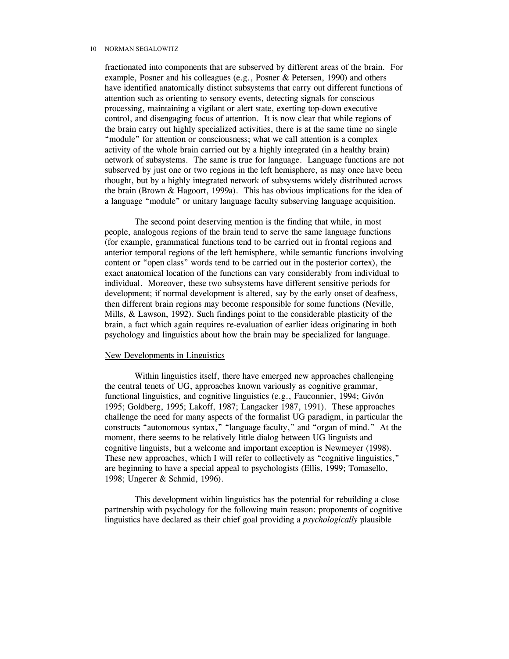fractionated into components that are subserved by different areas of the brain. For example, Posner and his colleagues (e.g., Posner & Petersen, 1990) and others have identified anatomically distinct subsystems that carry out different functions of attention such as orienting to sensory events, detecting signals for conscious processing, maintaining a vigilant or alert state, exerting top-down executive control, and disengaging focus of attention. It is now clear that while regions of the brain carry out highly specialized activities, there is at the same time no single "module" for attention or consciousness; what we call attention is a complex activity of the whole brain carried out by a highly integrated (in a healthy brain) network of subsystems. The same is true for language. Language functions are not subserved by just one or two regions in the left hemisphere, as may once have been thought, but by a highly integrated network of subsystems widely distributed across the brain (Brown & Hagoort, 1999a). This has obvious implications for the idea of a language "module" or unitary language faculty subserving language acquisition.

The second point deserving mention is the finding that while, in most people, analogous regions of the brain tend to serve the same language functions (for example, grammatical functions tend to be carried out in frontal regions and anterior temporal regions of the left hemisphere, while semantic functions involving content or "open class" words tend to be carried out in the posterior cortex), the exact anatomical location of the functions can vary considerably from individual to individual. Moreover, these two subsystems have different sensitive periods for development; if normal development is altered, say by the early onset of deafness, then different brain regions may become responsible for some functions (Neville, Mills, & Lawson, 1992). Such findings point to the considerable plasticity of the brain, a fact which again requires re-evaluation of earlier ideas originating in both psychology and linguistics about how the brain may be specialized for language.

## New Developments in Linguistics

Within linguistics itself, there have emerged new approaches challenging the central tenets of UG, approaches known variously as cognitive grammar, functional linguistics, and cognitive linguistics (e.g., Fauconnier, 1994; Givón 1995; Goldberg, 1995; Lakoff, 1987; Langacker 1987, 1991). These approaches challenge the need for many aspects of the formalist UG paradigm, in particular the constructs "autonomous syntax," "language faculty," and "organ of mind." At the moment, there seems to be relatively little dialog between UG linguists and cognitive linguists, but a welcome and important exception is Newmeyer (1998). These new approaches, which I will refer to collectively as "cognitive linguistics," are beginning to have a special appeal to psychologists (Ellis, 1999; Tomasello, 1998; Ungerer & Schmid, 1996).

This development within linguistics has the potential for rebuilding a close partnership with psychology for the following main reason: proponents of cognitive linguistics have declared as their chief goal providing a *psychologically* plausible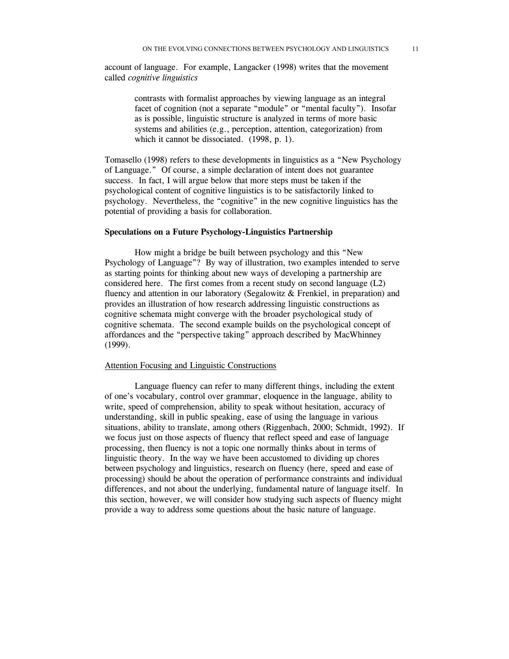account of language. For example, Langacker (1998) writes that the movement called *cognitive linguistics*

> contrasts with formalist approaches by viewing language as an integral facet of cognition (not a separate "module" or "mental faculty"). Insofar as is possible, linguistic structure is analyzed in terms of more basic systems and abilities (e.g., perception, attention, categorization) from which it cannot be dissociated. (1998, p. 1).

Tomasello (1998) refers to these developments in linguistics as a "New Psychology of Language." Of course, a simple declaration of intent does not guarantee success. In fact, I will argue below that more steps must be taken if the psychological content of cognitive linguistics is to be satisfactorily linked to psychology. Nevertheless, the "cognitive" in the new cognitive linguistics has the potential of providing a basis for collaboration.

## **Speculations on a Future Psychology-Linguistics Partnership**

How might a bridge be built between psychology and this "New Psychology of Language"? By way of illustration, two examples intended to serve as starting points for thinking about new ways of developing a partnership are considered here. The first comes from a recent study on second language (L2) fluency and attention in our laboratory (Segalowitz & Frenkiel, in preparation) and provides an illustration of how research addressing linguistic constructions as cognitive schemata might converge with the broader psychological study of cognitive schemata. The second example builds on the psychological concept of affordances and the "perspective taking" approach described by MacWhinney (1999).

## Attention Focusing and Linguistic Constructions

Language fluency can refer to many different things, including the extent of one's vocabulary, control over grammar, eloquence in the language, ability to write, speed of comprehension, ability to speak without hesitation, accuracy of understanding, skill in public speaking, ease of using the language in various situations, ability to translate, among others (Riggenbach, 2000; Schmidt, 1992). If we focus just on those aspects of fluency that reflect speed and ease of language processing, then fluency is not a topic one normally thinks about in terms of linguistic theory. In the way we have been accustomed to dividing up chores between psychology and linguistics, research on fluency (here, speed and ease of processing) should be about the operation of performance constraints and individual differences, and not about the underlying, fundamental nature of language itself. In this section, however, we will consider how studying such aspects of fluency might provide a way to address some questions about the basic nature of language.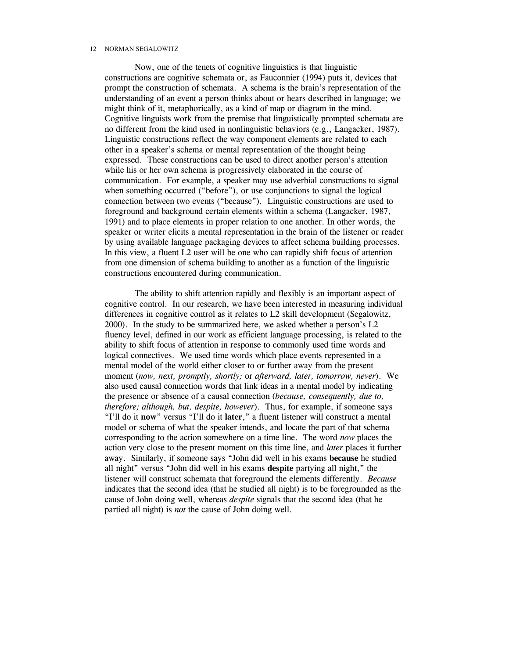Now, one of the tenets of cognitive linguistics is that linguistic constructions are cognitive schemata or, as Fauconnier (1994) puts it, devices that prompt the construction of schemata. A schema is the brain's representation of the understanding of an event a person thinks about or hears described in language; we might think of it, metaphorically, as a kind of map or diagram in the mind. Cognitive linguists work from the premise that linguistically prompted schemata are no different from the kind used in nonlinguistic behaviors (e.g., Langacker, 1987). Linguistic constructions reflect the way component elements are related to each other in a speaker's schema or mental representation of the thought being expressed. These constructions can be used to direct another person's attention while his or her own schema is progressively elaborated in the course of communication. For example, a speaker may use adverbial constructions to signal when something occurred ("before"), or use conjunctions to signal the logical connection between two events ("because"). Linguistic constructions are used to foreground and background certain elements within a schema (Langacker, 1987, 1991) and to place elements in proper relation to one another. In other words, the speaker or writer elicits a mental representation in the brain of the listener or reader by using available language packaging devices to affect schema building processes. In this view, a fluent L2 user will be one who can rapidly shift focus of attention from one dimension of schema building to another as a function of the linguistic constructions encountered during communication.

The ability to shift attention rapidly and flexibly is an important aspect of cognitive control. In our research, we have been interested in measuring individual differences in cognitive control as it relates to L2 skill development (Segalowitz, 2000). In the study to be summarized here, we asked whether a person's L2 fluency level, defined in our work as efficient language processing, is related to the ability to shift focus of attention in response to commonly used time words and logical connectives. We used time words which place events represented in a mental model of the world either closer to or further away from the present moment (*now, next, promptly, shortly;* or *afterward, later, tomorrow, never*). We also used causal connection words that link ideas in a mental model by indicating the presence or absence of a causal connection (*because, consequently, due to, therefore; although, but, despite, however*). Thus, for example, if someone says "I'll do it **now**" versus "I'll do it **later**," a fluent listener will construct a mental model or schema of what the speaker intends, and locate the part of that schema corresponding to the action somewhere on a time line. The word *now* places the action very close to the present moment on this time line, and *later* places it further away. Similarly, if someone says "John did well in his exams **because** he studied all night" versus "John did well in his exams **despite** partying all night," the listener will construct schemata that foreground the elements differently. *Because* indicates that the second idea (that he studied all night) is to be foregrounded as the cause of John doing well, whereas *despite* signals that the second idea (that he partied all night) is *not* the cause of John doing well.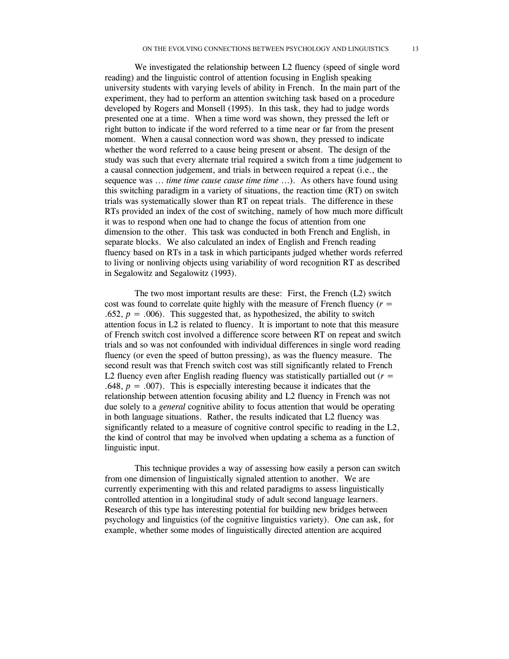We investigated the relationship between L2 fluency (speed of single word reading) and the linguistic control of attention focusing in English speaking university students with varying levels of ability in French. In the main part of the experiment, they had to perform an attention switching task based on a procedure developed by Rogers and Monsell (1995). In this task, they had to judge words presented one at a time. When a time word was shown, they pressed the left or right button to indicate if the word referred to a time near or far from the present moment. When a causal connection word was shown, they pressed to indicate whether the word referred to a cause being present or absent. The design of the study was such that every alternate trial required a switch from a time judgement to a causal connection judgement, and trials in between required a repeat (i.e., the sequence was ... *time time cause cause time time* ...). As others have found using this switching paradigm in a variety of situations, the reaction time (RT) on switch trials was systematically slower than RT on repeat trials. The difference in these RTs provided an index of the cost of switching, namely of how much more difficult it was to respond when one had to change the focus of attention from one dimension to the other. This task was conducted in both French and English, in separate blocks. We also calculated an index of English and French reading fluency based on RTs in a task in which participants judged whether words referred to living or nonliving objects using variability of word recognition RT as described in Segalowitz and Segalowitz (1993).

The two most important results are these: First, the French (L2) switch cost was found to correlate quite highly with the measure of French fluency  $(r =$ .652,  $p = .006$ ). This suggested that, as hypothesized, the ability to switch attention focus in L2 is related to fluency. It is important to note that this measure of French switch cost involved a difference score between RT on repeat and switch trials and so was not confounded with individual differences in single word reading fluency (or even the speed of button pressing), as was the fluency measure. The second result was that French switch cost was still significantly related to French L2 fluency even after English reading fluency was statistically partialled out  $(r =$ .648,  $p = .007$ ). This is especially interesting because it indicates that the relationship between attention focusing ability and L2 fluency in French was not due solely to a *general* cognitive ability to focus attention that would be operating in both language situations. Rather, the results indicated that L2 fluency was significantly related to a measure of cognitive control specific to reading in the L2, the kind of control that may be involved when updating a schema as a function of linguistic input.

This technique provides a way of assessing how easily a person can switch from one dimension of linguistically signaled attention to another. We are currently experimenting with this and related paradigms to assess linguistically controlled attention in a longitudinal study of adult second language learners. Research of this type has interesting potential for building new bridges between psychology and linguistics (of the cognitive linguistics variety). One can ask, for example, whether some modes of linguistically directed attention are acquired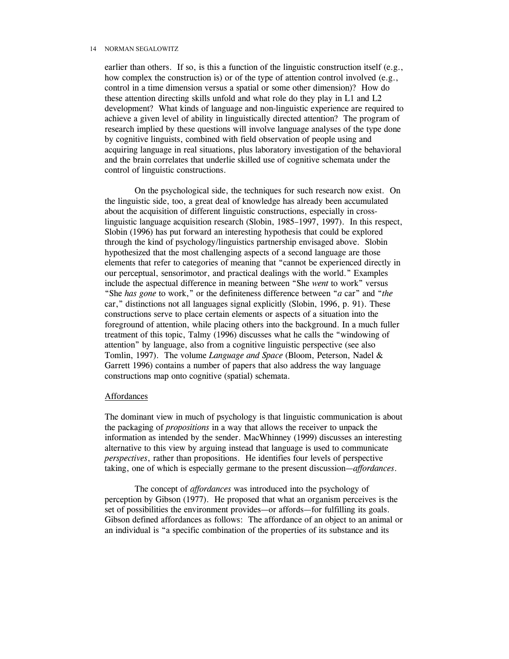earlier than others. If so, is this a function of the linguistic construction itself (e.g., how complex the construction is) or of the type of attention control involved (e.g., control in a time dimension versus a spatial or some other dimension)? How do these attention directing skills unfold and what role do they play in L1 and L2 development? What kinds of language and non-linguistic experience are required to achieve a given level of ability in linguistically directed attention? The program of research implied by these questions will involve language analyses of the type done by cognitive linguists, combined with field observation of people using and acquiring language in real situations, plus laboratory investigation of the behavioral and the brain correlates that underlie skilled use of cognitive schemata under the control of linguistic constructions.

On the psychological side, the techniques for such research now exist. On the linguistic side, too, a great deal of knowledge has already been accumulated about the acquisition of different linguistic constructions, especially in crosslinguistic language acquisition research (Slobin, 1985–1997, 1997). In this respect, Slobin (1996) has put forward an interesting hypothesis that could be explored through the kind of psychology/linguistics partnership envisaged above. Slobin hypothesized that the most challenging aspects of a second language are those elements that refer to categories of meaning that "cannot be experienced directly in our perceptual, sensorimotor, and practical dealings with the world." Examples include the aspectual difference in meaning between "She *went* to work" versus "She *has gone* to work," or the definiteness difference between "*a* car" and "*the* car," distinctions not all languages signal explicitly (Slobin, 1996, p. 91). These constructions serve to place certain elements or aspects of a situation into the foreground of attention, while placing others into the background. In a much fuller treatment of this topic, Talmy (1996) discusses what he calls the "windowing of attention" by language, also from a cognitive linguistic perspective (see also Tomlin, 1997). The volume *Language and Space* (Bloom, Peterson, Nadel & Garrett 1996) contains a number of papers that also address the way language constructions map onto cognitive (spatial) schemata.

## Affordances

The dominant view in much of psychology is that linguistic communication is about the packaging of *propositions* in a way that allows the receiver to unpack the information as intended by the sender. MacWhinney (1999) discusses an interesting alternative to this view by arguing instead that language is used to communicate *perspectives*, rather than propositions. He identifies four levels of perspective taking, one of which is especially germane to the present discussion—*affordances*.

The concept of *affordances* was introduced into the psychology of perception by Gibson (1977). He proposed that what an organism perceives is the set of possibilities the environment provides—or affords—for fulfilling its goals. Gibson defined affordances as follows: The affordance of an object to an animal or an individual is "a specific combination of the properties of its substance and its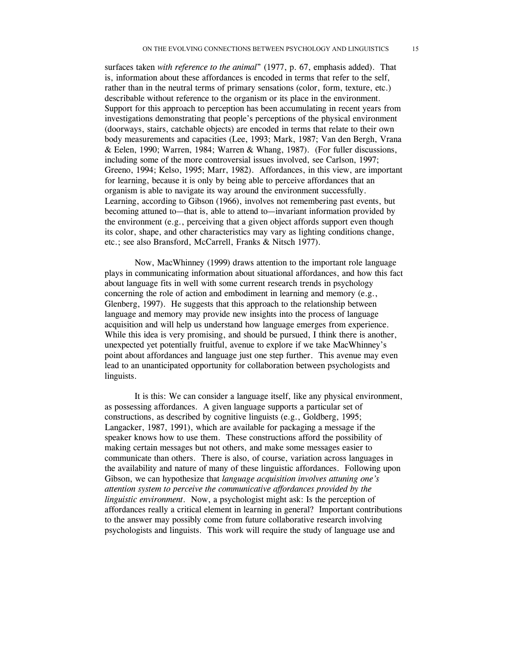surfaces taken *with reference to the animal*" (1977, p. 67, emphasis added). That is, information about these affordances is encoded in terms that refer to the self, rather than in the neutral terms of primary sensations (color, form, texture, etc.) describable without reference to the organism or its place in the environment. Support for this approach to perception has been accumulating in recent years from investigations demonstrating that people's perceptions of the physical environment (doorways, stairs, catchable objects) are encoded in terms that relate to their own body measurements and capacities (Lee, 1993; Mark, 1987; Van den Bergh, Vrana & Eelen, 1990; Warren, 1984; Warren & Whang, 1987). (For fuller discussions, including some of the more controversial issues involved, see Carlson, 1997; Greeno, 1994; Kelso, 1995; Marr, 1982). Affordances, in this view, are important for learning, because it is only by being able to perceive affordances that an organism is able to navigate its way around the environment successfully. Learning, according to Gibson (1966), involves not remembering past events, but becoming attuned to—that is, able to attend to—invariant information provided by the environment (e.g., perceiving that a given object affords support even though its color, shape, and other characteristics may vary as lighting conditions change, etc.; see also Bransford, McCarrell, Franks & Nitsch 1977).

Now, MacWhinney (1999) draws attention to the important role language plays in communicating information about situational affordances, and how this fact about language fits in well with some current research trends in psychology concerning the role of action and embodiment in learning and memory (e.g., Glenberg, 1997). He suggests that this approach to the relationship between language and memory may provide new insights into the process of language acquisition and will help us understand how language emerges from experience. While this idea is very promising, and should be pursued, I think there is another, unexpected yet potentially fruitful, avenue to explore if we take MacWhinney's point about affordances and language just one step further. This avenue may even lead to an unanticipated opportunity for collaboration between psychologists and linguists.

It is this: We can consider a language itself, like any physical environment, as possessing affordances. A given language supports a particular set of constructions, as described by cognitive linguists (e.g., Goldberg, 1995; Langacker, 1987, 1991), which are available for packaging a message if the speaker knows how to use them. These constructions afford the possibility of making certain messages but not others, and make some messages easier to communicate than others. There is also, of course, variation across languages in the availability and nature of many of these linguistic affordances. Following upon Gibson, we can hypothesize that *language acquisition involves attuning one's attention system to perceive the communicative affordances provided by the linguistic environment*. Now, a psychologist might ask: Is the perception of affordances really a critical element in learning in general? Important contributions to the answer may possibly come from future collaborative research involving psychologists and linguists. This work will require the study of language use and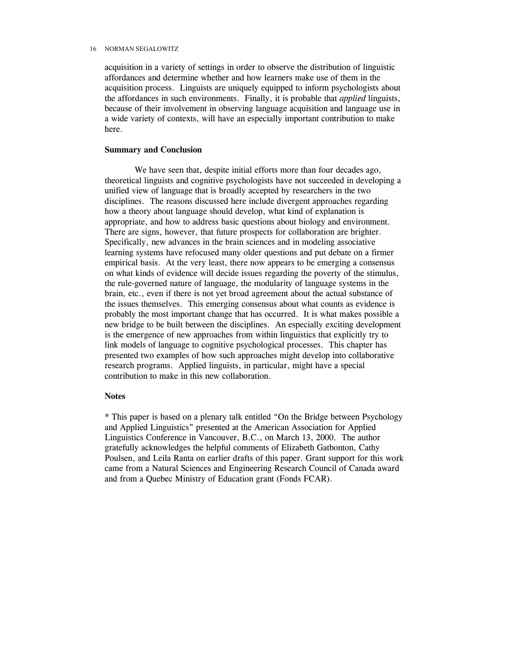acquisition in a variety of settings in order to observe the distribution of linguistic affordances and determine whether and how learners make use of them in the acquisition process. Linguists are uniquely equipped to inform psychologists about the affordances in such environments. Finally, it is probable that *applied* linguists, because of their involvement in observing language acquisition and language use in a wide variety of contexts, will have an especially important contribution to make here.

### **Summary and Conclusion**

We have seen that, despite initial efforts more than four decades ago, theoretical linguists and cognitive psychologists have not succeeded in developing a unified view of language that is broadly accepted by researchers in the two disciplines. The reasons discussed here include divergent approaches regarding how a theory about language should develop, what kind of explanation is appropriate, and how to address basic questions about biology and environment. There are signs, however, that future prospects for collaboration are brighter. Specifically, new advances in the brain sciences and in modeling associative learning systems have refocused many older questions and put debate on a firmer empirical basis. At the very least, there now appears to be emerging a consensus on what kinds of evidence will decide issues regarding the poverty of the stimulus, the rule-governed nature of language, the modularity of language systems in the brain, etc., even if there is not yet broad agreement about the actual substance of the issues themselves. This emerging consensus about what counts as evidence is probably the most important change that has occurred. It is what makes possible a new bridge to be built between the disciplines. An especially exciting development is the emergence of new approaches from within linguistics that explicitly try to link models of language to cognitive psychological processes. This chapter has presented two examples of how such approaches might develop into collaborative research programs. Applied linguists, in particular, might have a special contribution to make in this new collaboration.

## **Notes**

\* This paper is based on a plenary talk entitled "On the Bridge between Psychology and Applied Linguistics" presented at the American Association for Applied Linguistics Conference in Vancouver, B.C., on March 13, 2000. The author gratefully acknowledges the helpful comments of Elizabeth Gatbonton, Cathy Poulsen, and Leila Ranta on earlier drafts of this paper. Grant support for this work came from a Natural Sciences and Engineering Research Council of Canada award and from a Quebec Ministry of Education grant (Fonds FCAR).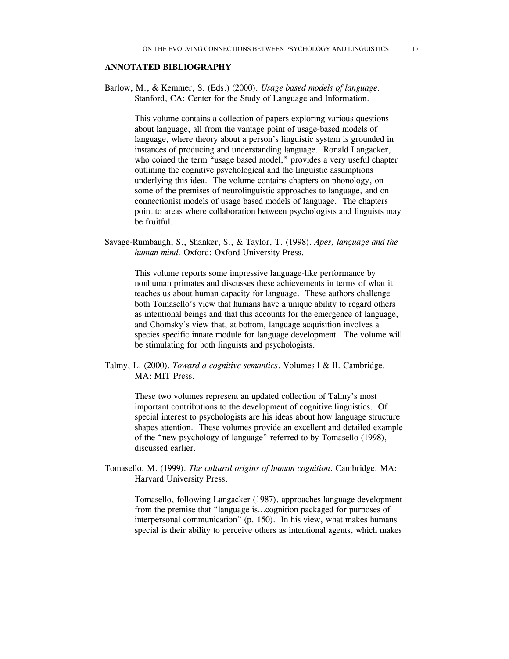## **ANNOTATED BIBLIOGRAPHY**

Barlow, M., & Kemmer, S. (Eds.) (2000). *Usage based models of language.* Stanford, CA: Center for the Study of Language and Information.

> This volume contains a collection of papers exploring various questions about language, all from the vantage point of usage-based models of language, where theory about a person's linguistic system is grounded in instances of producing and understanding language. Ronald Langacker, who coined the term "usage based model," provides a very useful chapter outlining the cognitive psychological and the linguistic assumptions underlying this idea. The volume contains chapters on phonology, on some of the premises of neurolinguistic approaches to language, and on connectionist models of usage based models of language. The chapters point to areas where collaboration between psychologists and linguists may be fruitful.

Savage-Rumbaugh, S., Shanker, S., & Taylor, T. (1998). *Apes, language and the human mind.* Oxford: Oxford University Press.

> This volume reports some impressive language-like performance by nonhuman primates and discusses these achievements in terms of what it teaches us about human capacity for language. These authors challenge both Tomasello's view that humans have a unique ability to regard others as intentional beings and that this accounts for the emergence of language, and Chomsky's view that, at bottom, language acquisition involves a species specific innate module for language development. The volume will be stimulating for both linguists and psychologists.

Talmy, L. (2000). *Toward a cognitive semantics*. Volumes I & II. Cambridge, MA: MIT Press.

> These two volumes represent an updated collection of Talmy's most important contributions to the development of cognitive linguistics. Of special interest to psychologists are his ideas about how language structure shapes attention. These volumes provide an excellent and detailed example of the "new psychology of language" referred to by Tomasello (1998), discussed earlier.

Tomasello, M. (1999). *The cultural origins of human cognition*. Cambridge, MA: Harvard University Press.

Tomasello, following Langacker (1987), approaches language development from the premise that "language is…cognition packaged for purposes of interpersonal communication" (p. 150). In his view, what makes humans special is their ability to perceive others as intentional agents, which makes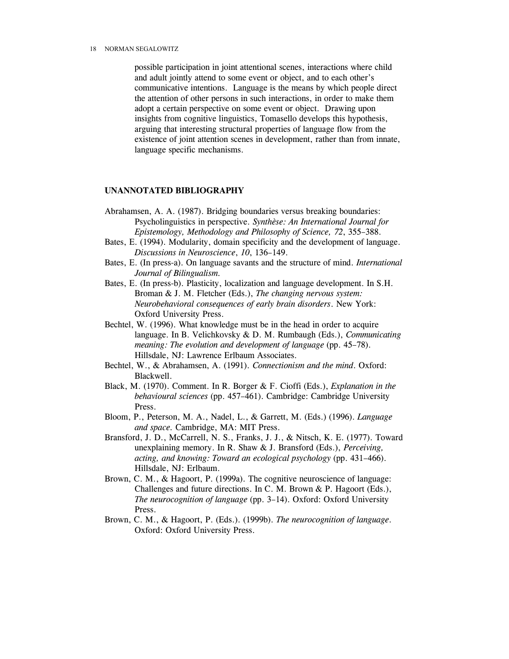possible participation in joint attentional scenes, interactions where child and adult jointly attend to some event or object, and to each other's communicative intentions. Language is the means by which people direct the attention of other persons in such interactions, in order to make them adopt a certain perspective on some event or object. Drawing upon insights from cognitive linguistics, Tomasello develops this hypothesis, arguing that interesting structural properties of language flow from the existence of joint attention scenes in development, rather than from innate, language specific mechanisms.

### **UNANNOTATED BIBLIOGRAPHY**

- Abrahamsen, A. A. (1987). Bridging boundaries versus breaking boundaries: Psycholinguistics in perspective. *Synthèse: An International Journal for Epistemology, Methodology and Philosophy of Science, 72*, 355–388.
- Bates, E. (1994). Modularity, domain specificity and the development of language. *Discussions in Neuroscience*, *10*, 136–149.
- Bates, E. (In press-a). On language savants and the structure of mind. *International Journal of Bilingualism.*
- Bates, E. (In press-b). Plasticity, localization and language development. In S.H. Broman & J. M. Fletcher (Eds.), *The changing nervous system: Neurobehavioral consequences of early brain disorders*. New York: Oxford University Press.
- Bechtel, W. (1996). What knowledge must be in the head in order to acquire language. In B. Velichkovsky & D. M. Rumbaugh (Eds.), *Communicating meaning: The evolution and development of language* (pp. 45–78). Hillsdale, NJ: Lawrence Erlbaum Associates.
- Bechtel, W., & Abrahamsen, A. (1991). *Connectionism and the mind*. Oxford: Blackwell.
- Black, M. (1970). Comment. In R. Borger & F. Cioffi (Eds.), *Explanation in the behavioural sciences* (pp. 457–461). Cambridge: Cambridge University Press.
- Bloom, P., Peterson, M. A., Nadel, L., & Garrett, M. (Eds.) (1996). *Language and space.* Cambridge, MA: MIT Press.
- Bransford, J. D., McCarrell, N. S., Franks, J. J., & Nitsch, K. E. (1977). Toward unexplaining memory. In R. Shaw & J. Bransford (Eds.), *Perceiving, acting, and knowing: Toward an ecological psychology* (pp. 431–466). Hillsdale, NJ: Erlbaum.
- Brown, C. M., & Hagoort, P. (1999a). The cognitive neuroscience of language: Challenges and future directions. In C. M. Brown & P. Hagoort (Eds.), *The neurocognition of language* (pp. 3–14). Oxford: Oxford University Press.
- Brown, C. M., & Hagoort, P. (Eds.). (1999b). *The neurocognition of language*. Oxford: Oxford University Press.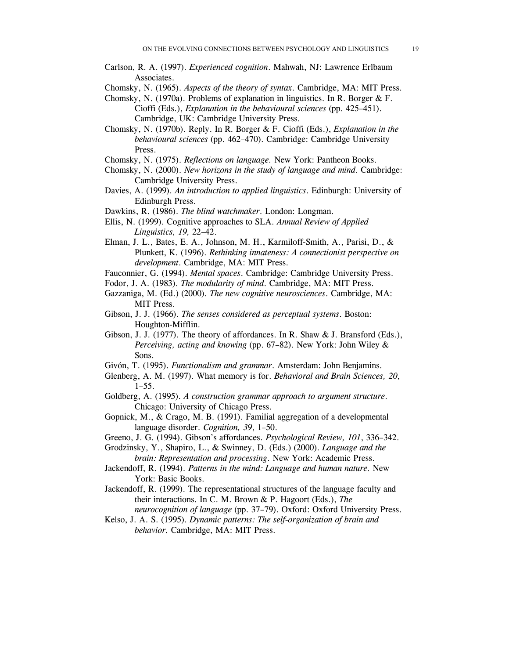- Carlson, R. A. (1997). *Experienced cognition*. Mahwah, NJ: Lawrence Erlbaum Associates.
- Chomsky, N. (1965). *Aspects of the theory of syntax*. Cambridge, MA: MIT Press.
- Chomsky, N. (1970a). Problems of explanation in linguistics. In R. Borger & F. Cioffi (Eds.), *Explanation in the behavioural sciences* (pp. 425–451). Cambridge, UK: Cambridge University Press.
- Chomsky, N. (1970b). Reply. In R. Borger & F. Cioffi (Eds.), *Explanation in the behavioural sciences* (pp. 462–470). Cambridge: Cambridge University Press.
- Chomsky, N. (1975). *Reflections on language.* New York: Pantheon Books.
- Chomsky, N. (2000). *New horizons in the study of language and mind*. Cambridge: Cambridge University Press.
- Davies, A. (1999). *An introduction to applied linguistics*. Edinburgh: University of Edinburgh Press.
- Dawkins, R. (1986). *The blind watchmaker*. London: Longman.
- Ellis, N. (1999). Cognitive approaches to SLA. *Annual Review of Applied Linguistics, 19,* 22–42.
- Elman, J. L., Bates, E. A., Johnson, M. H., Karmiloff-Smith, A., Parisi, D., & Plunkett, K. (1996). *Rethinking innateness: A connectionist perspective on development*. Cambridge, MA: MIT Press.
- Fauconnier, G. (1994). *Mental spaces*. Cambridge: Cambridge University Press.
- Fodor, J. A. (1983). *The modularity of mind*. Cambridge, MA: MIT Press.
- Gazzaniga, M. (Ed.) (2000). *The new cognitive neurosciences*. Cambridge, MA: MIT Press.
- Gibson, J. J. (1966). *The senses considered as perceptual systems*. Boston: Houghton-Mifflin.
- Gibson, J. J. (1977). The theory of affordances. In R. Shaw & J. Bransford (Eds.), *Perceiving, acting and knowing* (pp. 67–82). New York: John Wiley & Sons.
- Givón, T. (1995). *Functionalism and grammar*. Amsterdam: John Benjamins.
- Glenberg, A. M. (1997). What memory is for. *Behavioral and Brain Sciences, 20*,  $1-55$ .
- Goldberg, A. (1995). *A construction grammar approach to argument structure*. Chicago: University of Chicago Press.
- Gopnick, M., & Crago, M. B. (1991). Familial aggregation of a developmental language disorder. *Cognition, 39*, 1–50.
- Greeno, J. G. (1994). Gibson's affordances. *Psychological Review, 101*, 336–342.
- Grodzinsky, Y., Shapiro, L., & Swinney, D. (Eds.) (2000). *Language and the brain: Representation and processing*. New York: Academic Press.
- Jackendoff, R. (1994). *Patterns in the mind: Language and human nature.* New York: Basic Books.
- Jackendoff, R. (1999). The representational structures of the language faculty and their interactions. In C. M. Brown & P. Hagoort (Eds.), *The neurocognition of language* (pp. 37–79). Oxford: Oxford University Press.
- Kelso, J. A. S. (1995). *Dynamic patterns: The self-organization of brain and behavior.* Cambridge, MA: MIT Press.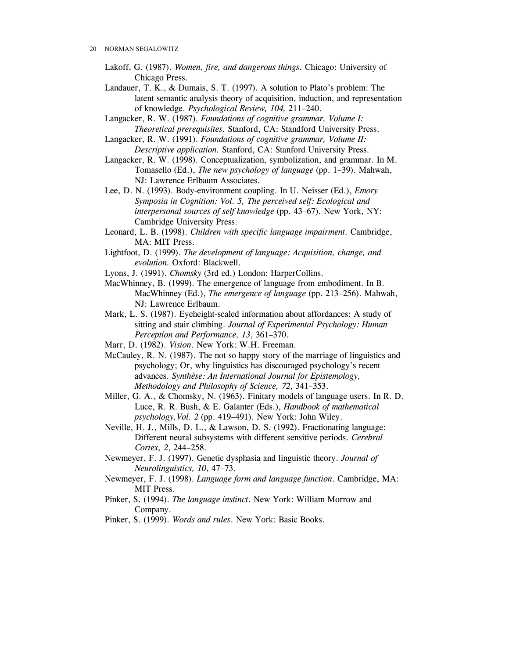- Lakoff, G. (1987). *Women, fire, and dangerous things.* Chicago: University of Chicago Press.
- Landauer, T. K., & Dumais, S. T. (1997). A solution to Plato's problem: The latent semantic analysis theory of acquisition, induction, and representation of knowledge. *Psychological Review, 104,* 211–240.
- Langacker, R. W. (1987). *Foundations of cognitive grammar, Volume I: Theoretical prerequisites.* Stanford, CA: Standford University Press.
- Langacker, R. W. (1991). *Foundations of cognitive grammar, Volume II: Descriptive application.* Stanford, CA: Stanford University Press.
- Langacker, R. W. (1998). Conceptualization, symbolization, and grammar. In M. Tomasello (Ed.), *The new psychology of language* (pp. 1–39)*.* Mahwah, NJ: Lawrence Erlbaum Associates.
- Lee, D. N. (1993). Body-environment coupling. In U. Neisser (Ed.), *Emory Symposia in Cognition: Vol. 5, The perceived self: Ecological and interpersonal sources of self knowledge* (pp. 43–67). New York, NY: Cambridge University Press.
- Leonard, L. B. (1998). *Children with specific language impairment.* Cambridge, MA: MIT Press.
- Lightfoot, D. (1999). *The development of language: Acquisition, change, and evolution.* Oxford: Blackwell.
- Lyons, J. (1991). *Chomsky* (3rd ed.) London: HarperCollins.
- MacWhinney, B. (1999). The emergence of language from embodiment. In B. MacWhinney (Ed.), *The emergence of language* (pp. 213–256). Mahwah, NJ: Lawrence Erlbaum.
- Mark, L. S. (1987). Eyeheight-scaled information about affordances: A study of sitting and stair climbing. *Journal of Experimental Psychology: Human Perception and Performance, 13*, 361–370.
- Marr, D. (1982). *Vision*. New York: W.H. Freeman.
- McCauley, R. N. (1987). The not so happy story of the marriage of linguistics and psychology; Or, why linguistics has discouraged psychology's recent advances. *Synthèse: An International Journal for Epistemology, Methodology and Philosophy of Science, 72*, 341–353.
- Miller, G. A., & Chomsky, N. (1963). Finitary models of language users. In R. D. Luce, R. R. Bush, & E. Galanter (Eds.), *Handbook of mathematical psychology,Vol. 2* (pp. 419–491). New York: John Wiley.
- Neville, H. J., Mills, D. L., & Lawson, D. S. (1992). Fractionating language: Different neural subsystems with different sensitive periods. *Cerebral Cortex, 2*, 244–258.
- Newmeyer, F. J. (1997). Genetic dysphasia and linguistic theory. *Journal of Neurolinguistics, 10*, 47–73.
- Newmeyer, F. J. (1998). *Language form and language function*. Cambridge, MA: MIT Press.
- Pinker, S. (1994). *The language instinct*. New York: William Morrow and Company.
- Pinker, S. (1999). *Words and rules*. New York: Basic Books.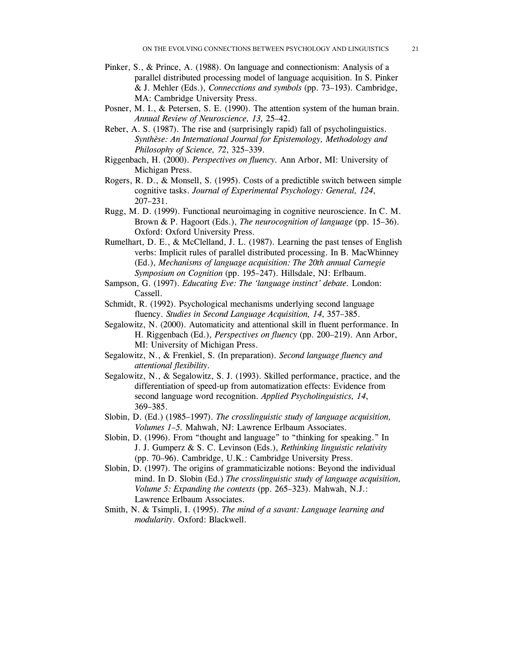- Pinker, S., & Prince, A. (1988). On language and connectionism: Analysis of a parallel distributed processing model of language acquisition. In S. Pinker & J. Mehler (Eds.), *Connecctions and symbols* (pp. 73–193)*.* Cambridge, MA: Cambridge University Press.
- Posner, M. I., & Petersen, S. E. (1990). The attention system of the human brain. *Annual Review of Neuroscience, 13,* 25–42.
- Reber, A. S. (1987). The rise and (surprisingly rapid) fall of psycholinguistics. *Synthèse: An International Journal for Epistemology, Methodology and Philosophy of Science, 72*, 325–339.
- Riggenbach, H. (2000). *Perspectives on fluency.* Ann Arbor, MI: University of Michigan Press.
- Rogers, R. D., & Monsell, S. (1995). Costs of a predictible switch between simple cognitive tasks. *Journal of Experimental Psychology: General, 124*, 207–231.
- Rugg, M. D. (1999). Functional neuroimaging in cognitive neuroscience. In C. M. Brown & P. Hagoort (Eds.), *The neurocognition of language* (pp. 15–36). Oxford: Oxford University Press.
- Rumelhart, D. E., & McClelland, J. L. (1987). Learning the past tenses of English verbs: Implicit rules of parallel distributed processing. In B. MacWhinney (Ed.), *Mechanisms of language acquisition: The 20th annual Carnegie Symposium on Cognition* (pp. 195–247). Hillsdale, NJ: Erlbaum.
- Sampson, G. (1997). *Educating Eve: The 'language instinct' debate.* London: Cassell.
- Schmidt, R. (1992). Psychological mechanisms underlying second language fluency. *Studies in Second Language Acquisition, 14*, 357–385.
- Segalowitz, N. (2000). Automaticity and attentional skill in fluent performance. In H. Riggenbach (Ed.), *Perspectives on fluency* (pp. 200–219). Ann Arbor, MI: University of Michigan Press.
- Segalowitz, N., & Frenkiel, S. (In preparation). *Second language fluency and attentional flexibility.*
- Segalowitz, N., & Segalowitz, S. J. (1993). Skilled performance, practice, and the differentiation of speed-up from automatization effects: Evidence from second language word recognition. *Applied Psycholinguistics, 14*, 369–385.
- Slobin, D. (Ed.) (1985–1997). *The crosslinguistic study of language acquisition, Volumes 1–5.* Mahwah, NJ: Lawrence Erlbaum Associates.
- Slobin, D. (1996). From "thought and language" to "thinking for speaking." In J. J. Gumperz & S. C. Levinson (Eds.), *Rethinking linguistic relativity* (pp. 70–96). Cambridge, U.K.: Cambridge University Press.
- Slobin, D. (1997). The origins of grammaticizable notions: Beyond the individual mind. In D. Slobin (Ed.) *The crosslinguistic study of language acquisition, Volume 5: Expanding the contexts* (pp. 265–323). Mahwah, N.J.: Lawrence Erlbaum Associates.
- Smith, N. & Tsimpli, I. (1995). *The mind of a savant: Language learning and modularity.* Oxford: Blackwell.